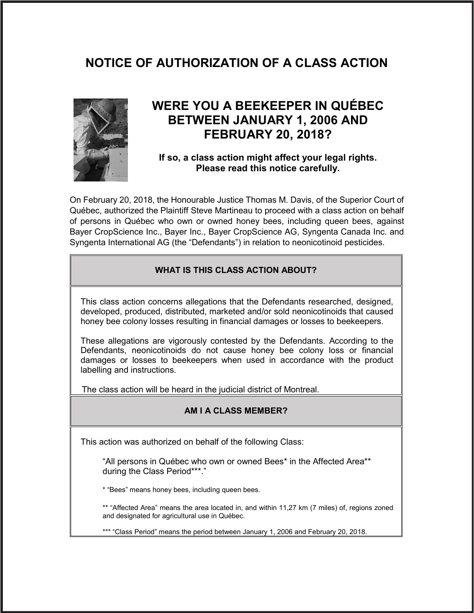# **NOTICE OF AUTHORIZATION OF A CLASS ACTION**



## **WERE YOU A BEEKEEPER IN QUÉBEC BETWEEN JANUARY 1, 2006 AND FEBRUARY 20, 2018?**

## **If so, a class action might affect your legal rights. Please read this notice carefully.**

On February 20, 2018, the Honourable Justice Thomas M. Davis, of the Superior Court of Québec, authorized the Plaintiff Steve Martineau to proceed with a class action on behalf of persons in Québec who own or owned honey bees, including queen bees, against Bayer CropScience Inc., Bayer Inc., Bayer CropScience AG, Syngenta Canada Inc. and Syngenta International AG (the "Defendants") in relation to neonicotinoid pesticides.

## **WHAT IS THIS CLASS ACTION ABOUT?**

This class action concerns allegations that the Defendants researched, designed, developed, produced, distributed, marketed and/or sold neonicotinoids that caused honey bee colony losses resulting in financial damages or losses to beekeepers.

These allegations are vigorously contested by the Defendants. According to the Defendants, neonicotinoids do not cause honey bee colony loss or financial damages or losses to beekeepers when used in accordance with the product labelling and instructions.

The class action will be heard in the judicial district of Montreal.

## **AM I A CLASS MEMBER?**

This action was authorized on behalf of the following Class:

"All persons in Québec who own or owned Bees\* in the Affected Area\*\* during the Class Period\*\*\*."

\* "Bees" means honey bees, including queen bees.

\*\* "Affected Area" means the area located in, and within 11,27 km (7 miles) of, regions zoned and designated for agricultural use in Québec.

\*\*\* "Class Period" means the period between January 1, 2006 and February 20, 2018.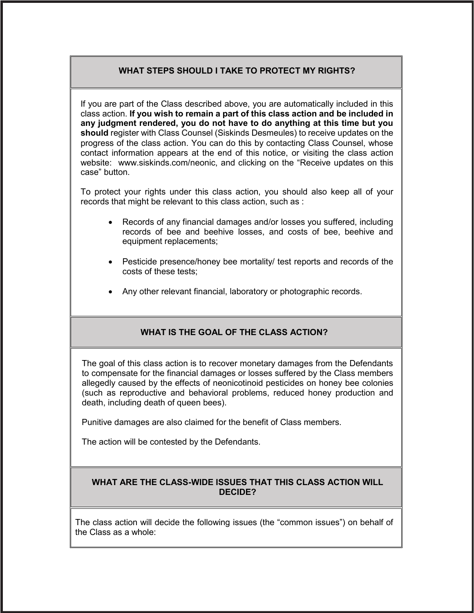## **WHAT STEPS SHOULD I TAKE TO PROTECT MY RIGHTS?**

If you are part of the Class described above, you are automatically included in this class action. **If you wish to remain a part of this class action and be included in any judgment rendered, you do not have to do anything at this time but you should** register with Class Counsel (Siskinds Desmeules) to receive updates on the progress of the class action. You can do this by contacting Class Counsel, whose contact information appears at the end of this notice, or visiting the class action website: www.siskinds.com/neonic, and clicking on the "Receive updates on this case" button.

To protect your rights under this class action, you should also keep all of your records that might be relevant to this class action, such as :

- Records of any financial damages and/or losses you suffered, including records of bee and beehive losses, and costs of bee, beehive and equipment replacements;
- Pesticide presence/honey bee mortality/ test reports and records of the costs of these tests;
- Any other relevant financial, laboratory or photographic records.

## **WHAT IS THE GOAL OF THE CLASS ACTION?**

The goal of this class action is to recover monetary damages from the Defendants to compensate for the financial damages or losses suffered by the Class members allegedly caused by the effects of neonicotinoid pesticides on honey bee colonies (such as reproductive and behavioral problems, reduced honey production and death, including death of queen bees).

Punitive damages are also claimed for the benefit of Class members.

The action will be contested by the Defendants.

## **WHAT ARE THE CLASS-WIDE ISSUES THAT THIS CLASS ACTION WILL DECIDE?**

The class action will decide the following issues (the "common issues") on behalf of the Class as a whole: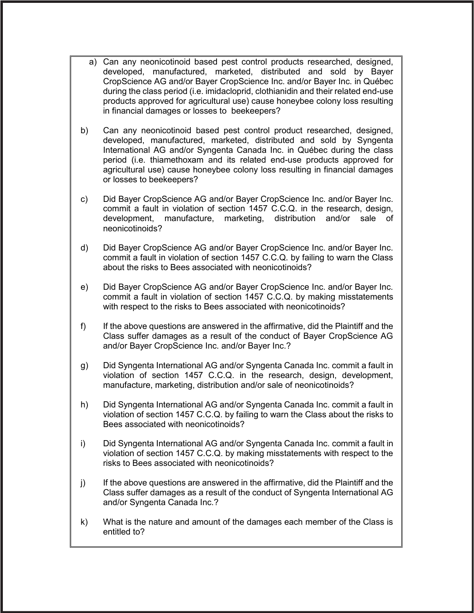- a) Can any neonicotinoid based pest control products researched, designed, developed, manufactured, marketed, distributed and sold by Bayer CropScience AG and/or Bayer CropScience Inc. and/or Bayer Inc. in Québec during the class period (i.e. imidacloprid, clothianidin and their related end-use products approved for agricultural use) cause honeybee colony loss resulting in financial damages or losses to beekeepers?
- b) Can any neonicotinoid based pest control product researched, designed, developed, manufactured, marketed, distributed and sold by Syngenta International AG and/or Syngenta Canada Inc. in Québec during the class period (i.e. thiamethoxam and its related end-use products approved for agricultural use) cause honeybee colony loss resulting in financial damages or losses to beekeepers?
- c) Did Bayer CropScience AG and/or Bayer CropScience Inc. and/or Bayer Inc. commit a fault in violation of section 1457 C.C.Q. in the research, design, development, manufacture, marketing, distribution and/or sale of neonicotinoids?
- d) Did Bayer CropScience AG and/or Bayer CropScience Inc. and/or Bayer Inc. commit a fault in violation of section 1457 C.C.Q. by failing to warn the Class about the risks to Bees associated with neonicotinoids?
- e) Did Bayer CropScience AG and/or Bayer CropScience Inc. and/or Bayer Inc. commit a fault in violation of section 1457 C.C.Q. by making misstatements with respect to the risks to Bees associated with neonicotinoids?
- f) If the above questions are answered in the affirmative, did the Plaintiff and the Class suffer damages as a result of the conduct of Bayer CropScience AG and/or Bayer CropScience Inc. and/or Bayer Inc.?
- g) Did Syngenta International AG and/or Syngenta Canada Inc. commit a fault in violation of section 1457 C.C.Q. in the research, design, development, manufacture, marketing, distribution and/or sale of neonicotinoids?
- h) Did Syngenta International AG and/or Syngenta Canada Inc. commit a fault in violation of section 1457 C.C.Q. by failing to warn the Class about the risks to Bees associated with neonicotinoids?
- i) Did Syngenta International AG and/or Syngenta Canada Inc. commit a fault in violation of section 1457 C.C.Q. by making misstatements with respect to the risks to Bees associated with neonicotinoids?
- j) If the above questions are answered in the affirmative, did the Plaintiff and the Class suffer damages as a result of the conduct of Syngenta International AG and/or Syngenta Canada Inc.?
- k) What is the nature and amount of the damages each member of the Class is entitled to?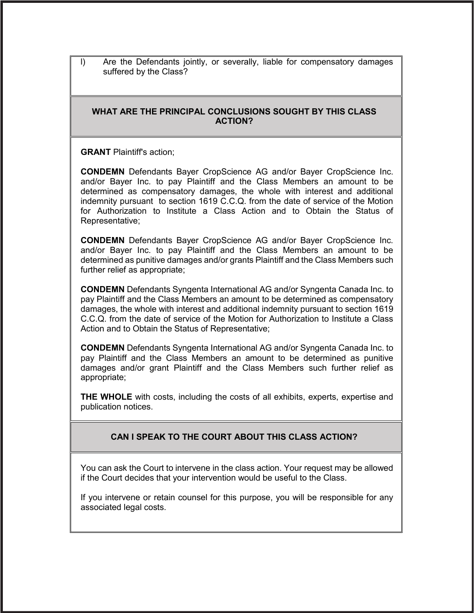l) Are the Defendants jointly, or severally, liable for compensatory damages suffered by the Class?

#### **WHAT ARE THE PRINCIPAL CONCLUSIONS SOUGHT BY THIS CLASS ACTION?**

**GRANT** Plaintiff's action;

**CONDEMN** Defendants Bayer CropScience AG and/or Bayer CropScience Inc. and/or Bayer Inc. to pay Plaintiff and the Class Members an amount to be determined as compensatory damages, the whole with interest and additional indemnity pursuant to section 1619 C.C.Q. from the date of service of the Motion for Authorization to Institute a Class Action and to Obtain the Status of Representative;

**CONDEMN** Defendants Bayer CropScience AG and/or Bayer CropScience Inc. and/or Bayer Inc. to pay Plaintiff and the Class Members an amount to be determined as punitive damages and/or grants Plaintiff and the Class Members such further relief as appropriate;

**CONDEMN** Defendants Syngenta International AG and/or Syngenta Canada Inc. to pay Plaintiff and the Class Members an amount to be determined as compensatory damages, the whole with interest and additional indemnity pursuant to section 1619 C.C.Q. from the date of service of the Motion for Authorization to Institute a Class Action and to Obtain the Status of Representative;

**CONDEMN** Defendants Syngenta International AG and/or Syngenta Canada Inc. to pay Plaintiff and the Class Members an amount to be determined as punitive damages and/or grant Plaintiff and the Class Members such further relief as appropriate;

**THE WHOLE** with costs, including the costs of all exhibits, experts, expertise and publication notices.

## **CAN I SPEAK TO THE COURT ABOUT THIS CLASS ACTION?**

You can ask the Court to intervene in the class action. Your request may be allowed if the Court decides that your intervention would be useful to the Class.

If you intervene or retain counsel for this purpose, you will be responsible for any associated legal costs.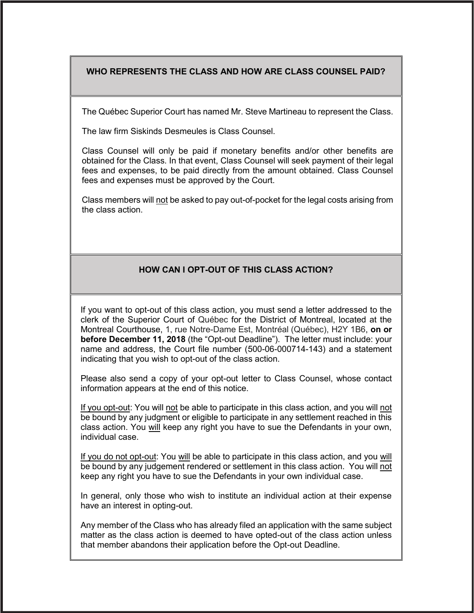## **WHO REPRESENTS THE CLASS AND HOW ARE CLASS COUNSEL PAID?**

The Québec Superior Court has named Mr. Steve Martineau to represent the Class.

The law firm Siskinds Desmeules is Class Counsel.

Class Counsel will only be paid if monetary benefits and/or other benefits are obtained for the Class. In that event, Class Counsel will seek payment of their legal fees and expenses, to be paid directly from the amount obtained. Class Counsel fees and expenses must be approved by the Court.

Class members will not be asked to pay out-of-pocket for the legal costs arising from the class action.

## **HOW CAN I OPT-OUT OF THIS CLASS ACTION?**

If you want to opt-out of this class action, you must send a letter addressed to the clerk of the Superior Court of Québec for the District of Montreal, located at the Montreal Courthouse, 1, rue Notre-Dame Est, Montréal (Québec), H2Y 1B6, **on or before December 11, 2018** (the "Opt-out Deadline"). The letter must include: your name and address, the Court file number (500-06-000714-143) and a statement indicating that you wish to opt-out of the class action.

Please also send a copy of your opt-out letter to Class Counsel, whose contact information appears at the end of this notice.

If you opt-out: You will not be able to participate in this class action, and you will not be bound by any judgment or eligible to participate in any settlement reached in this class action. You will keep any right you have to sue the Defendants in your own, individual case.

If you do not opt-out: You will be able to participate in this class action, and you will be bound by any judgement rendered or settlement in this class action. You will not keep any right you have to sue the Defendants in your own individual case.

In general, only those who wish to institute an individual action at their expense have an interest in opting-out.

Any member of the Class who has already filed an application with the same subject matter as the class action is deemed to have opted-out of the class action unless that member abandons their application before the Opt-out Deadline.